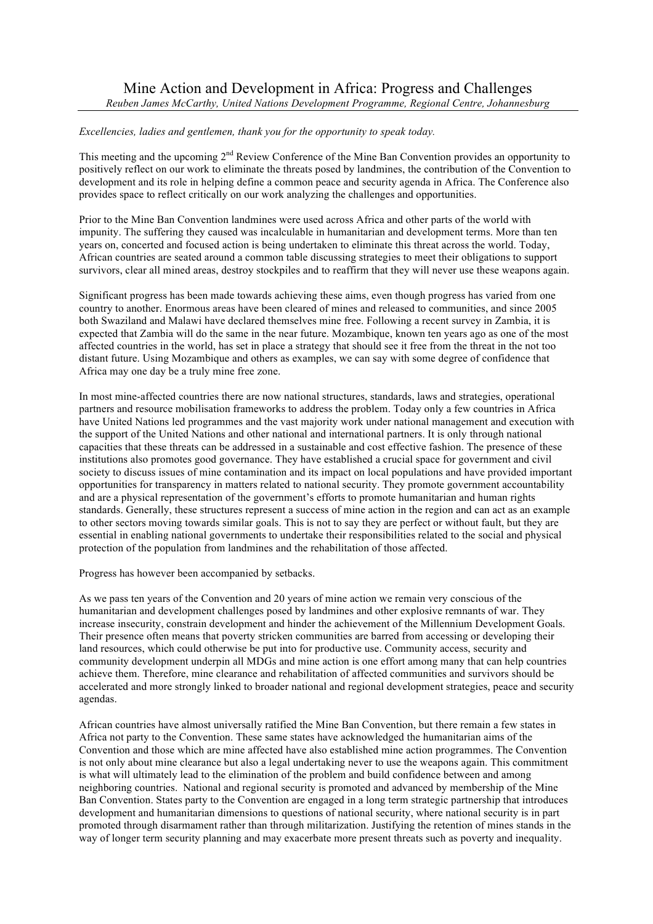## *Excellencies, ladies and gentlemen, thank you for the opportunity to speak today.*

This meeting and the upcoming 2<sup>nd</sup> Review Conference of the Mine Ban Convention provides an opportunity to positively reflect on our work to eliminate the threats posed by landmines, the contribution of the Convention to development and its role in helping define a common peace and security agenda in Africa. The Conference also provides space to reflect critically on our work analyzing the challenges and opportunities.

Prior to the Mine Ban Convention landmines were used across Africa and other parts of the world with impunity. The suffering they caused was incalculable in humanitarian and development terms. More than ten years on, concerted and focused action is being undertaken to eliminate this threat across the world. Today, African countries are seated around a common table discussing strategies to meet their obligations to support survivors, clear all mined areas, destroy stockpiles and to reaffirm that they will never use these weapons again.

Significant progress has been made towards achieving these aims, even though progress has varied from one country to another. Enormous areas have been cleared of mines and released to communities, and since 2005 both Swaziland and Malawi have declared themselves mine free. Following a recent survey in Zambia, it is expected that Zambia will do the same in the near future. Mozambique, known ten years ago as one of the most affected countries in the world, has set in place a strategy that should see it free from the threat in the not too distant future. Using Mozambique and others as examples, we can say with some degree of confidence that Africa may one day be a truly mine free zone.

In most mine-affected countries there are now national structures, standards, laws and strategies, operational partners and resource mobilisation frameworks to address the problem. Today only a few countries in Africa have United Nations led programmes and the vast majority work under national management and execution with the support of the United Nations and other national and international partners. It is only through national capacities that these threats can be addressed in a sustainable and cost effective fashion. The presence of these institutions also promotes good governance. They have established a crucial space for government and civil society to discuss issues of mine contamination and its impact on local populations and have provided important opportunities for transparency in matters related to national security. They promote government accountability and are a physical representation of the government's efforts to promote humanitarian and human rights standards. Generally, these structures represent a success of mine action in the region and can act as an example to other sectors moving towards similar goals. This is not to say they are perfect or without fault, but they are essential in enabling national governments to undertake their responsibilities related to the social and physical protection of the population from landmines and the rehabilitation of those affected.

Progress has however been accompanied by setbacks.

As we pass ten years of the Convention and 20 years of mine action we remain very conscious of the humanitarian and development challenges posed by landmines and other explosive remnants of war. They increase insecurity, constrain development and hinder the achievement of the Millennium Development Goals. Their presence often means that poverty stricken communities are barred from accessing or developing their land resources, which could otherwise be put into for productive use. Community access, security and community development underpin all MDGs and mine action is one effort among many that can help countries achieve them. Therefore, mine clearance and rehabilitation of affected communities and survivors should be accelerated and more strongly linked to broader national and regional development strategies, peace and security agendas.

African countries have almost universally ratified the Mine Ban Convention, but there remain a few states in Africa not party to the Convention. These same states have acknowledged the humanitarian aims of the Convention and those which are mine affected have also established mine action programmes. The Convention is not only about mine clearance but also a legal undertaking never to use the weapons again. This commitment is what will ultimately lead to the elimination of the problem and build confidence between and among neighboring countries. National and regional security is promoted and advanced by membership of the Mine Ban Convention. States party to the Convention are engaged in a long term strategic partnership that introduces development and humanitarian dimensions to questions of national security, where national security is in part promoted through disarmament rather than through militarization. Justifying the retention of mines stands in the way of longer term security planning and may exacerbate more present threats such as poverty and inequality.